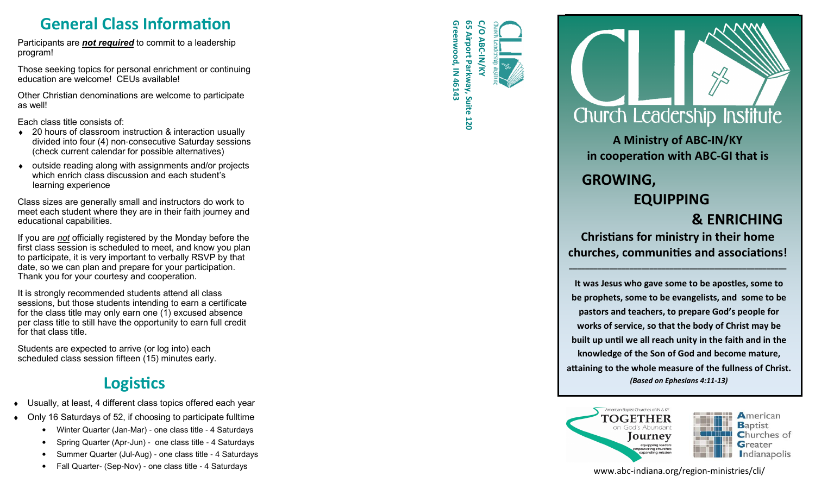**General Class Information**<br>
ipants are <u>not required</u> to commit to a leadership<br>
am!<br>
e seeking topics for personal enrichment or continuing<br>
ting are unabased. CEUs available Participants are *not required* to commit to a leadership program!

Those seeking topics for personal enrichment or continuing education are welcome! CEUs available!

Other Christian denominations are welcome to participate as well!

Each class title consists of:

- ♦ 20 hours of classroom instruction & interaction usually divided into four (4) non-consecutive Saturday sessions (check current calendar for possible alternatives)
- outside reading along with assignments and/or projects which enrich class discussion and each student's learning experience

Class sizes are generally small and instructors do work to meet each student where they are in their faith journey and educational capabilities.

If you are *not* officially registered by the Monday before the first class session is scheduled to meet, and know you plan to participate, it is very important to verbally RSVP by that date, so we can plan and prepare for your participation.Thank you for your courtesy and cooperation.

It is strongly recommended students attend all class sessions, but those students intending to earn a certificate for the class title may only earn one (1) excused absence per class title to still have the opportunity to earn full credit for that class title.

Students are expected to arrive (or log into) each scheduled class session fifteen (15) minutes early.

#### **Logistics**

- Usually, at least, 4 different class topics offered each year
- Only 16 Saturdays of 52, if choosing to participate fulltime
	- Winter Quarter (Jan-Mar) one class title 4 Saturdays
	- Spring Quarter (Apr-Jun) one class title 4 Saturdays
	- Summer Quarter (Jul-Aug) one class title 4 Saturdays
	- Fall Quarter- (Sep-Nov) one class title 4 Saturdays

**Greenwood, IN 46143 65 Airport Parkway, Suite 120**  120



**A Ministry of ABC-IN/KY in cooperation with ABC-GI that is** 

## **GROWING,**

#### **EQUIPPING& ENRICHING**

 **Chrisans for ministry in their home** churches, communities and associations!

**\_\_\_\_\_\_\_\_\_\_\_\_\_\_\_\_\_\_\_\_\_\_\_\_\_\_\_\_\_\_\_\_\_\_\_\_\_\_\_\_\_\_\_\_\_\_\_\_\_\_\_\_\_\_** 

**It was Jesus who gave some to be apostles, some to be prophets, some to be evangelists, and some to be pastors and teachers, to prepare God's people for works of service, so that the body of Christ may be** built up until we all reach unity in the faith and in the **knowledge of the Son of God and become mature,** attaining to the whole measure of the fullness of Christ. *(Based on Ephesians 4:11-13)* 



www.abc-indiana.org/region-ministries/cli/